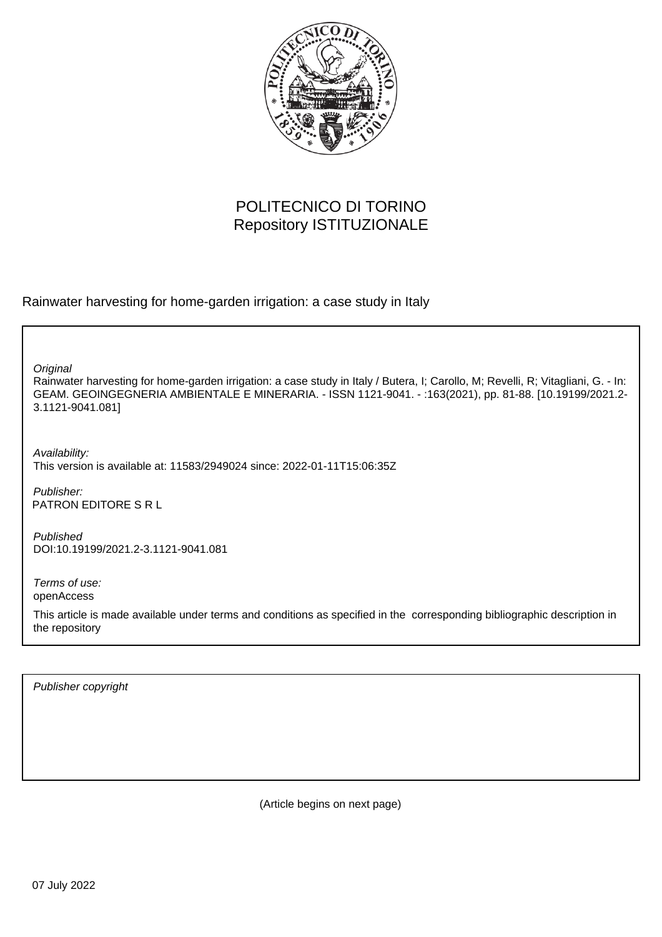

# POLITECNICO DI TORINO Repository ISTITUZIONALE

Rainwater harvesting for home-garden irrigation: a case study in Italy

**Original** 

Rainwater harvesting for home-garden irrigation: a case study in Italy / Butera, I; Carollo, M; Revelli, R; Vitagliani, G. - In: GEAM. GEOINGEGNERIA AMBIENTALE E MINERARIA. - ISSN 1121-9041. - :163(2021), pp. 81-88. [10.19199/2021.2- 3.1121-9041.081]

Availability: This version is available at: 11583/2949024 since: 2022-01-11T15:06:35Z

Publisher: PATRON EDITORE S R L

Published DOI:10.19199/2021.2-3.1121-9041.081

Terms of use: openAccess

This article is made available under terms and conditions as specified in the corresponding bibliographic description in the repository

Publisher copyright

(Article begins on next page)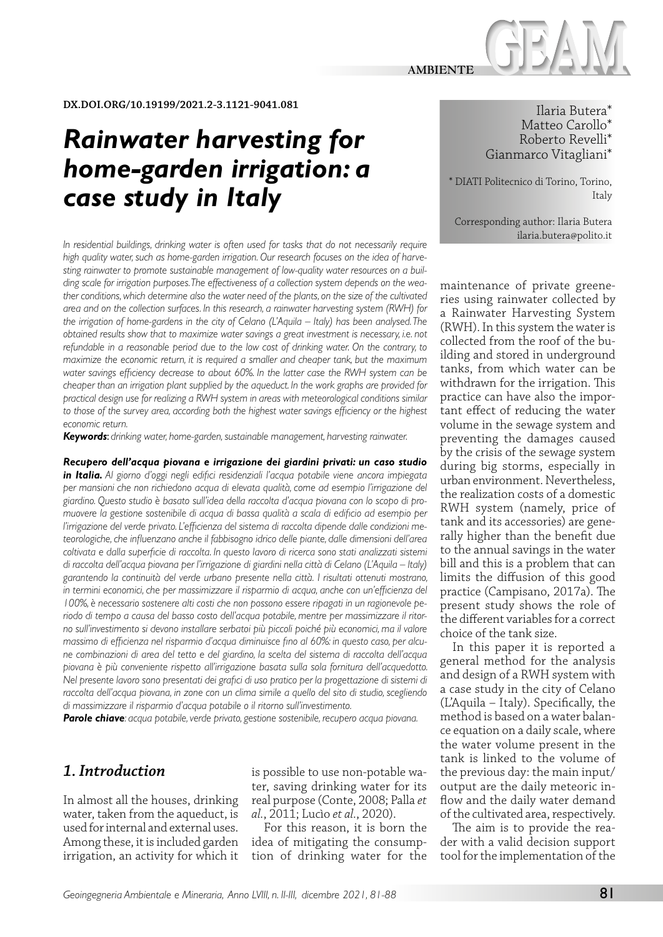

#### **DX.DOI.ORG/10.19199/2021.2-3.1121-9041.081**

# *Rainwater harvesting for home-garden irrigation: a case study in Italy*

*In residential buildings, drinking water is often used for tasks that do not necessarily require high quality water, such as home-garden irrigation. Our research focuses on the idea of harvesting rainwater to promote sustainable management of low-quality water resources on a building scale for irrigation purposes. The effectiveness of a collection system depends on the weather conditions, which determine also the water need of the plants, on the size of the cultivated area and on the collection surfaces. In this research, a rainwater harvesting system (RWH) for the irrigation of home-gardens in the city of Celano (L'Aquila – Italy) has been analysed. The obtained results show that to maximize water savings a great investment is necessary, i.e. not refundable in a reasonable period due to the low cost of drinking water. On the contrary, to maximize the economic return, it is required a smaller and cheaper tank, but the maximum water savings efficiency decrease to about 60%. In the latter case the RWH system can be cheaper than an irrigation plant supplied by the aqueduct. In the work graphs are provided for practical design use for realizing a RWH system in areas with meteorological conditions similar to those of the survey area, according both the highest water savings efficiency or the highest economic return.*

*Keywords*: *drinking water, home-garden, sustainable management, harvesting rainwater.*

*Recupero dell'acqua piovana e irrigazione dei giardini privati: un caso studio in Italia. Al giorno d'oggi negli edifici residenziali l'acqua potabile viene ancora impiegata per mansioni che non richiedono acqua di elevata qualità, come ad esempio l'irrigazione del giardino. Questo studio è basato sull'idea della raccolta d'acqua piovana con lo scopo di promuovere la gestione sostenibile di acqua di bassa qualità a scala di edificio ad esempio per l'irrigazione del verde privato. L'efficienza del sistema di raccolta dipende dalle condizioni meteorologiche, che influenzano anche il fabbisogno idrico delle piante, dalle dimensioni dell'area coltivata e dalla superficie di raccolta. In questo lavoro di ricerca sono stati analizzati sistemi di raccolta dell'acqua piovana per l'irrigazione di giardini nella città di Celano (L'Aquila – Italy) garantendo la continuità del verde urbano presente nella città. I risultati ottenuti mostrano, in termini economici, che per massimizzare il risparmio di acqua, anche con un'efficienza del 100%, è necessario sostenere alti costi che non possono essere ripagati in un ragionevole periodo di tempo a causa del basso costo dell'acqua potabile, mentre per massimizzare il ritorno sull'investimento si devono installare serbatoi più piccoli poiché più economici, ma il valore massimo di efficienza nel risparmio d'acqua diminuisce fino al 60%: in questo caso, per alcune combinazioni di area del tetto e del giardino, la scelta del sistema di raccolta dell'acqua piovana è più conveniente rispetto all'irrigazione basata sulla sola fornitura dell'acquedotto. Nel presente lavoro sono presentati dei grafici di uso pratico per la progettazione di sistemi di raccolta dell'acqua piovana, in zone con un clima simile a quello del sito di studio, scegliendo di massimizzare il risparmio d'acqua potabile o il ritorno sull'investimento.*

*Parole chiave: acqua potabile, verde privato, gestione sostenibile, recupero acqua piovana.*

# *1. Introduction*

In almost all the houses, drinking water, taken from the aqueduct, is used for internal and external uses. Among these, it is included garden irrigation, an activity for which it

is possible to use non-potable water, saving drinking water for its real purpose (Conte, 2008; Palla *et al.*, 2011; Lucìo *et al.*, 2020).

For this reason, it is born the idea of mitigating the consumption of drinking water for the

Ilaria Butera\* Matteo Carollo\* Roberto Revelli\* Gianmarco Vitagliani\*

\* DIATI Politecnico di Torino, Torino, Italy

Corresponding author: Ilaria Butera ilaria.butera@polito.it

maintenance of private greeneries using rainwater collected by a Rainwater Harvesting System (RWH). In this system the water is collected from the roof of the building and stored in underground tanks, from which water can be withdrawn for the irrigation. This practice can have also the important effect of reducing the water volume in the sewage system and preventing the damages caused by the crisis of the sewage system during big storms, especially in urban environment. Nevertheless, the realization costs of a domestic RWH system (namely, price of tank and its accessories) are generally higher than the benefit due to the annual savings in the water bill and this is a problem that can limits the diffusion of this good practice (Campisano, 2017a). The present study shows the role of the different variables for a correct choice of the tank size.

In this paper it is reported a general method for the analysis and design of a RWH system with a case study in the city of Celano (L'Aquila – Italy). Specifically, the method is based on a water balance equation on a daily scale, where the water volume present in the tank is linked to the volume of the previous day: the main input/ output are the daily meteoric inflow and the daily water demand of the cultivated area, respectively.

The aim is to provide the reader with a valid decision support tool for the implementation of the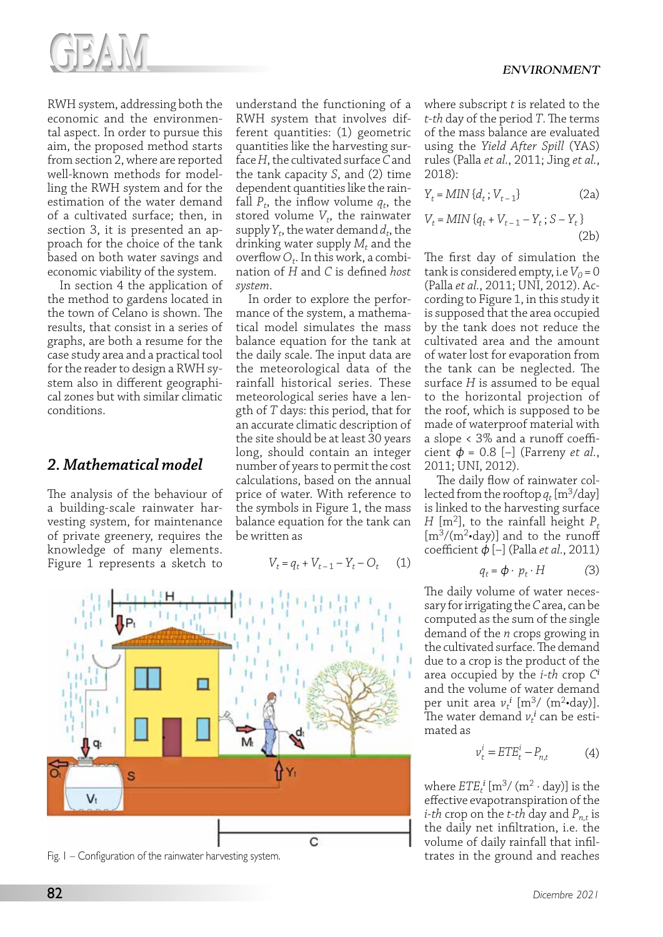

RWH system, addressing both the economic and the environmental aspect. In order to pursue this aim, the proposed method starts from section 2, where are reported well-known methods for modelling the RWH system and for the estimation of the water demand of a cultivated surface; then, in section 3, it is presented an approach for the choice of the tank based on both water savings and economic viability of the system.

In section 4 the application of the method to gardens located in the town of Celano is shown. The results, that consist in a series of graphs, are both a resume for the case study area and a practical tool for the reader to design a RWH system also in different geographical zones but with similar climatic conditions.

# *2. Mathematical model*

The analysis of the behaviour of a building-scale rainwater harvesting system, for maintenance of private greenery, requires the knowledge of many elements. Figure 1 represents a sketch to

understand the functioning of a RWH system that involves different quantities: (1) geometric quantities like the harvesting surface *H*, the cultivated surface *C* and the tank capacity *S*, and (2) time dependent quantities like the rainfall  $P_t$ , the inflow volume  $q_t$ , the stored volume  $V_t$ , the rainwater supply  $Y_t$ , the water demand  $d_t$ , the drinking water supply  $M_t$  and the overflow  $O_t$ . In this work, a combination of *H* and *C* is defined *host system*.

In order to explore the performance of the system, a mathematical model simulates the mass balance equation for the tank at the daily scale. The input data are the meteorological data of the rainfall historical series. These meteorological series have a length of *T* days: this period, that for an accurate climatic description of the site should be at least 30 years long, should contain an integer number of years to permit the cost calculations, based on the annual price of water. With reference to the symbols in Figure 1, the mass balance equation for the tank can be written as

$$
V_t = q_t + V_{t-1} - Y_t - O_t \qquad (1)
$$



Fig. I – Configuration of the rainwater harvesting system. The states in the ground and reaches

where subscript *t* is related to the *t-th* day of the period *T*. The terms of the mass balance are evaluated using the *Yield After Spill* (YAS) rules (Palla *et al.*, 2011; Jing *et al.*, 2018):

$$
Y_t = MIN\{d_t; V_{t-1}\}\tag{2a}
$$

$$
V_t = MIN\left\{q_t + V_{t-1} - Y_t; S - Y_t\right\}
$$
\n
$$
(2b)
$$

The first day of simulation the tank is considered empty, i.e  $V_0$  = 0 (Palla *et al.*, 2011; UNI, 2012). According to Figure 1, in this study it is supposed that the area occupied by the tank does not reduce the cultivated area and the amount of water lost for evaporation from the tank can be neglected. The surface *H* is assumed to be equal to the horizontal projection of the roof, which is supposed to be made of waterproof material with a slope < 3% and a runoff coefficient  $\phi = 0.8$  [-] (Farreny *et al.*, 2011; UNI, 2012).

The daily flow of rainwater collected from the rooftop  $q_t$  [m<sup>3</sup>/day] is linked to the harvesting surface *H* [m<sup>2</sup>], to the rainfall height  $P_t$  $[m<sup>3</sup>/(m<sup>2</sup>$ •day)] and to the runoff coefficient ϕ [–] (Palla *et al.*, 2011)

$$
q_t = \phi \cdot p_t \cdot H \tag{3}
$$

The daily volume of water necessary for irrigating the *C* area, can be computed as the sum of the single demand of the *n* crops growing in the cultivated surface. The demand due to a crop is the product of the area occupied by the *i-th* crop *C<sup>i</sup>* and the volume of water demand per unit area  $v_t^i$  [m<sup>3</sup>/ (m<sup>2</sup>•day)]. The water demand  $v_t^i$  can be estimated as

$$
v_t^i = ETE_t^i - P_{n,t} \tag{4}
$$

where  $ETE_t^i$  [m<sup>3</sup>/ (m<sup>2</sup> · day)] is the effective evapotranspiration of the *i-th* crop on the *t-th* day and  $P_{n,t}$  is the daily net infiltration, i.e. the volume of daily rainfall that infil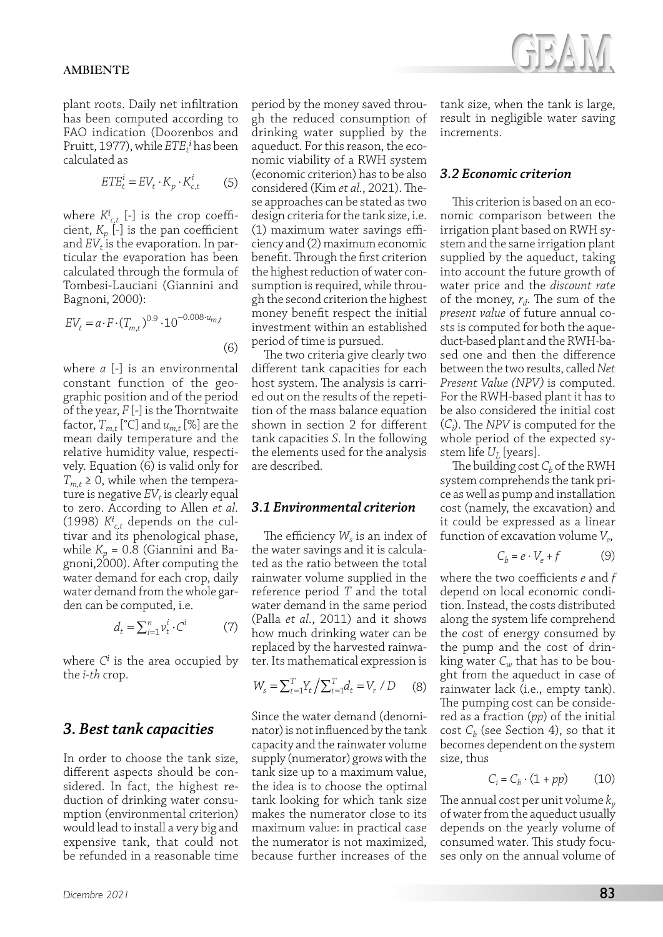plant roots. Daily net infiltration has been computed according to FAO indication (Doorenbos and Pruitt, 1977), while  $ET{E<sub>t</sub>}^i$  has been calculated as

$$
ETE_t^i = EV_t \cdot K_p \cdot K_{c,t}^i \tag{5}
$$

where  $K^i_{c,t}$  [-] is the crop coefficient, *Kp* [-] is the pan coefficient and  $EV_t$  is the evaporation. In particular the evaporation has been calculated through the formula of Tombesi-Lauciani (Giannini and Bagnoni, 2000):

$$
EV_t = a \cdot F \cdot (T_{m,t})^{0.9} \cdot 10^{-0.008 \cdot u_{m,t}}
$$
\n(6)

where *a* [-] is an environmental constant function of the geographic position and of the period of the year, *F* [-] is the Thorntwaite factor,  $T_{m,t}$  [°C] and  $u_{m,t}$  [%] are the mean daily temperature and the relative humidity value, respectively. Equation (6) is valid only for  $T_{m,t} \geq 0$ , while when the temperature is negative  $EV_t$  is clearly equal to zero. According to Allen *et al.* (1998)  $K^i_{c,t}$  depends on the cultivar and its phenological phase, while  $K_p$  = 0.8 (Giannini and Bagnoni,2000). After computing the water demand for each crop, daily water demand from the whole garden can be computed, i.e.

$$
d_t = \sum_{i=1}^{n} v_t^i \cdot C^i \tag{7}
$$

where *C<sup>i</sup>* is the area occupied by the *i-th* crop.

### *3. Best tank capacities*

In order to choose the tank size, different aspects should be considered. In fact, the highest reduction of drinking water consumption (environmental criterion) would lead to install a very big and expensive tank, that could not be refunded in a reasonable time period by the money saved through the reduced consumption of drinking water supplied by the aqueduct. For this reason, the economic viability of a RWH system (economic criterion) has to be also considered (Kim *et al.*, 2021). These approaches can be stated as two design criteria for the tank size, i.e. (1) maximum water savings efficiency and (2) maximum economic benefit. Through the first criterion the highest reduction of water consumption is required, while through the second criterion the highest money benefit respect the initial investment within an established period of time is pursued.

The two criteria give clearly two different tank capacities for each host system. The analysis is carried out on the results of the repetition of the mass balance equation shown in section 2 for different tank capacities *S*. In the following the elements used for the analysis are described.

#### *3.1 Environmental criterion*

The efficiency  $W_s$  is an index of the water savings and it is calculated as the ratio between the total rainwater volume supplied in the reference period *T* and the total water demand in the same period (Palla *et al.*, 2011) and it shows how much drinking water can be replaced by the harvested rainwater. Its mathematical expression is

$$
W_s = \sum_{t=1}^{T} Y_t / \sum_{t=1}^{T} d_t = V_r / D \qquad (8)
$$

Since the water demand (denominator) is not influenced by the tank capacity and the rainwater volume supply (numerator) grows with the tank size up to a maximum value, the idea is to choose the optimal tank looking for which tank size makes the numerator close to its maximum value: in practical case the numerator is not maximized, because further increases of the tank size, when the tank is large, result in negligible water saving increments.

#### *3.2 Economic criterion*

This criterion is based on an economic comparison between the irrigation plant based on RWH system and the same irrigation plant supplied by the aqueduct, taking into account the future growth of water price and the *discount rate* of the money, *rd*. The sum of the *present value* of future annual costs is computed for both the aqueduct-based plant and the RWH-based one and then the difference between the two results, called *Net Present Value (NPV)* is computed. For the RWH-based plant it has to be also considered the initial cost (*Ci* ). The *NPV* is computed for the whole period of the expected system life  $U_L$  [years].

The building cost  $C_b$  of the RWH system comprehends the tank price as well as pump and installation cost (namely, the excavation) and it could be expressed as a linear function of excavation volume *Ve*,

$$
C_b = e \cdot V_e + f \tag{9}
$$

where the two coefficients *e* and *f* depend on local economic condition. Instead, the costs distributed along the system life comprehend the cost of energy consumed by the pump and the cost of drinking water *Cw* that has to be bought from the aqueduct in case of rainwater lack (i.e., empty tank). The pumping cost can be considered as a fraction (*pp*) of the initial cost  $C_b$  (see Section 4), so that it becomes dependent on the system size, thus

$$
C_i = C_b \cdot (1 + pp) \tag{10}
$$

The annual cost per unit volume *ky* of water from the aqueduct usually depends on the yearly volume of consumed water. This study focuses only on the annual volume of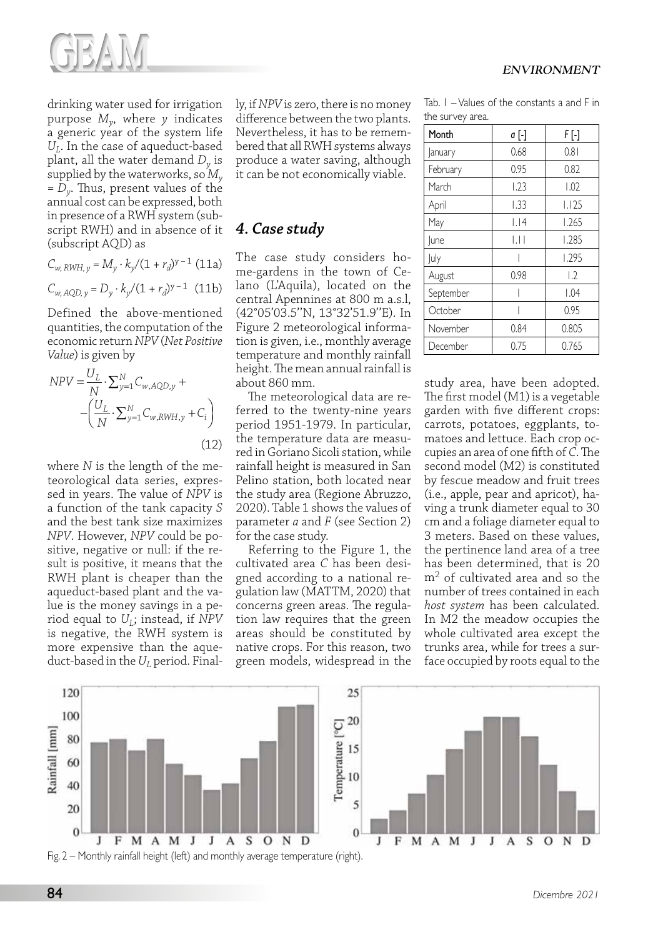

drinking water used for irrigation purpose *My*, where *y* indicates a generic year of the system life *U*<sub>*I*</sub>. In the case of aqueduct-based plant, all the water demand *Dy* is supplied by the waterworks, so *My = Dy*. Thus, present values of the annual cost can be expressed, both in presence of a RWH system (subscript RWH) and in absence of it (subscript AQD) as

$$
C_{w,\,RWH,\,y} = M_y \cdot k_y / (1+r_d)^{y-1} \;(11a)
$$

$$
C_{w, AQD, y} = D_y \cdot k_y / (1 + r_d)^{y - 1} \quad (11b)
$$

Defined the above-mentioned quantities, the computation of the economic return *NPV* (*Net Positive Value*) is given by

$$
NPV = \frac{U_L}{N} \cdot \sum_{y=1}^{N} C_{w, AQD, y} + -\left(\frac{U_L}{N} \cdot \sum_{y=1}^{N} C_{w, RWH, y} + C_i\right)
$$
\n(12)

where *N* is the length of the meteorological data series, expressed in years. The value of *NPV* is a function of the tank capacity *S* and the best tank size maximizes *NPV*. However, *NPV* could be positive, negative or null: if the result is positive, it means that the RWH plant is cheaper than the aqueduct-based plant and the value is the money savings in a period equal to  $U_L$ ; instead, if *NPV* is negative, the RWH system is more expensive than the aqueduct-based in the *U*<sub>L</sub> period. Finally, if *NPV* is zero, there is no money difference between the two plants. Nevertheless, it has to be remembered that all RWH systems always produce a water saving, although it can be not economically viable.

# *4. Case study*

The case study considers home-gardens in the town of Celano (L'Aquila), located on the central Apennines at 800 m a.s.l, (42°05'03.5''N, 13°32'51.9''E). In Figure 2 meteorological information is given, i.e., monthly average temperature and monthly rainfall height. The mean annual rainfall is about 860 mm.

The meteorological data are referred to the twenty-nine years period 1951-1979. In particular, the temperature data are measured in Goriano Sicoli station, while rainfall height is measured in San Pelino station, both located near the study area (Regione Abruzzo, 2020). Table 1 shows the values of parameter *a* and *F* (see Section 2) for the case study.

Referring to the Figure 1, the cultivated area *C* has been designed according to a national regulation law (MATTM, 2020) that concerns green areas. The regulation law requires that the green areas should be constituted by native crops. For this reason, two green models, widespread in the

| <b>ENVIRONMENT</b> |
|--------------------|
|--------------------|

Tab. 1 – Values of the constants a and F in the survey area.

| Month     | a [-] | F [-]            |
|-----------|-------|------------------|
| January   | 0.68  | 0.81             |
| February  | 0.95  | 0.82             |
| March     | 1.23  | 1.02             |
| April     | 1.33  | 1.125            |
| May       | 1.14  | 1.265            |
| June      | ЫI    | 1.285            |
| July      |       | 1.295            |
| August    | 0.98  | $\overline{1.2}$ |
| September |       | 1.04             |
| October   |       | 0.95             |
| November  | 0.84  | 0.805            |
| December  | 0.75  | 0.765            |

study area, have been adopted. The first model (M1) is a vegetable garden with five different crops: carrots, potatoes, eggplants, tomatoes and lettuce. Each crop occupies an area of one fifth of *C*. The second model (M2) is constituted by fescue meadow and fruit trees (i.e., apple, pear and apricot), having a trunk diameter equal to 30 cm and a foliage diameter equal to 3 meters. Based on these values, the pertinence land area of a tree has been determined, that is 20 m2 of cultivated area and so the number of trees contained in each *host system* has been calculated. In M2 the meadow occupies the whole cultivated area except the trunks area, while for trees a surface occupied by roots equal to the

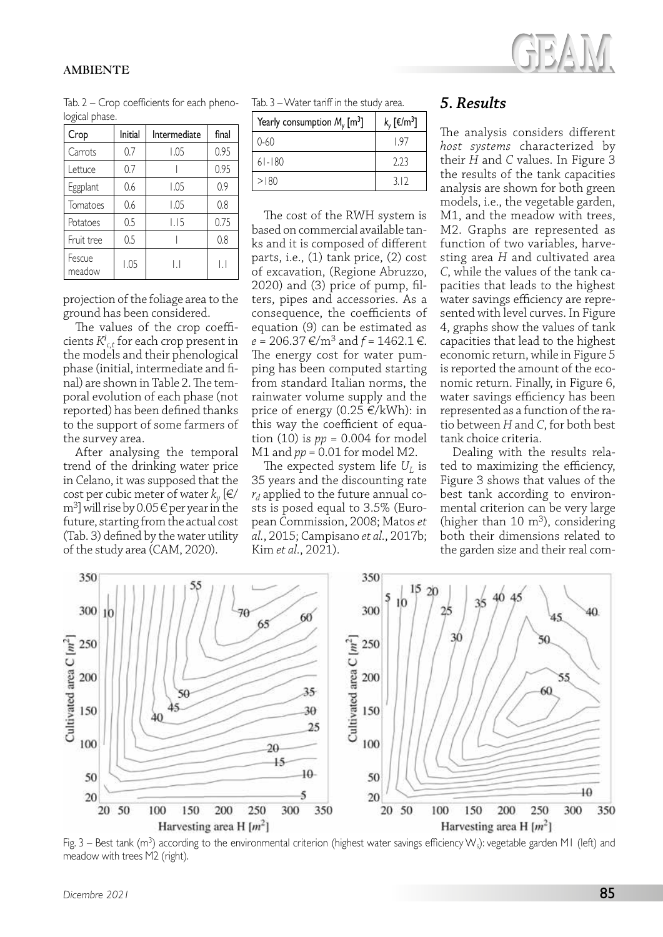#### **AMBIENTE**



Tab. 2 – Crop coefficients for each phenological phase.

| Crop             | Initial | Intermediate | final        |
|------------------|---------|--------------|--------------|
| Carrots          | 0.7     | 1.05         | 0.95         |
| Lettuce          | 0.7     |              | 0.95         |
| Eggplant         | 0.6     | 1.05         | 0.9          |
| Tomatoes         | 0.6     | 1.05         | 0.8          |
| Potatoes         | 0.5     | 1.15         | 0.75         |
| Fruit tree       | 0.5     |              | 0.8          |
| Fescue<br>meadow | 1.05    | ΙI           | $\mathsf{I}$ |

projection of the foliage area to the ground has been considered.

the survey area.

The values of the crop coefficients *K<sup>i</sup> c,t* for each crop present in the models and their phenological phase (initial, intermediate and final) are shown in Table 2. The temporal evolution of each phase (not reported) has been defined thanks to the support of some farmers of

After analysing the temporal trend of the drinking water price in Celano, it was supposed that the cost per cubic meter of water  $k_y$  [ $\notin$ /  $\text{m}^3$  will rise by 0.05  $\in$  per year in the future, starting from the actual cost (Tab. 3) defined by the water utility of the study area (CAM, 2020).

Tab. 3 – Water tariff in the study area.

| Yearly consumption $M_{v}$ [m <sup>3</sup> ] | $k_y$ [ $\epsilon/m^3$ ] |
|----------------------------------------------|--------------------------|
| $0 - 60$                                     | l 97                     |
| $61 - 180$                                   | 223                      |
| >180                                         | 312                      |

The cost of the RWH system is based on commercial available tanks and it is composed of different parts, i.e., (1) tank price, (2) cost of excavation, (Regione Abruzzo, 2020) and (3) price of pump, filters, pipes and accessories. As a consequence, the coefficients of equation (9) can be estimated as *e* = 206.37 €/m3 and *f* = 1462.1 €. The energy cost for water pumping has been computed starting from standard Italian norms, the rainwater volume supply and the price of energy  $(0.25 \in /kWh)$ : in this way the coefficient of equation (10) is *pp* = 0.004 for model M1 and *pp* = 0.01 for model M2.

The expected system life  $U_L$  is 35 years and the discounting rate  $r_d$  applied to the future annual costs is posed equal to 3.5% (European Commission, 2008; Matos *et al.*, 2015; Campisano *et al.*, 2017b; Kim *et al.*, 2021).

## *5. Results*

The analysis considers different *host systems* characterized by their *H* and *C* values. In Figure 3 the results of the tank capacities analysis are shown for both green models, i.e., the vegetable garden, M1, and the meadow with trees, M2. Graphs are represented as function of two variables, harvesting area *H* and cultivated area *C*, while the values of the tank capacities that leads to the highest water savings efficiency are represented with level curves. In Figure 4, graphs show the values of tank capacities that lead to the highest economic return, while in Figure 5 is reported the amount of the economic return. Finally, in Figure 6, water savings efficiency has been represented as a function of the ratio between *H* and *C*, for both best tank choice criteria.

Dealing with the results related to maximizing the efficiency, Figure 3 shows that values of the best tank according to environmental criterion can be very large (higher than 10  $m^3$ ), considering both their dimensions related to the garden size and their real com-



Fig. 3 – Best tank ( $m<sup>3</sup>$ ) according to the environmental criterion (highest water savings efficiency W<sub>s</sub>): vegetable garden M1 (left) and meadow with trees M2 (right).

*Dicembre 2021* 85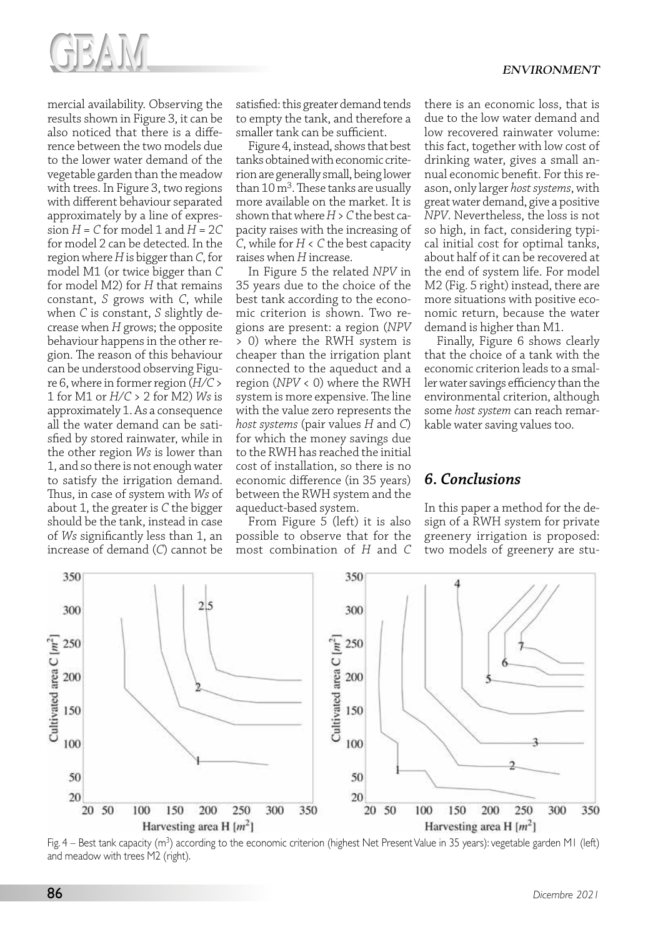

mercial availability. Observing the results shown in Figure 3, it can be also noticed that there is a difference between the two models due to the lower water demand of the vegetable garden than the meadow with trees. In Figure 3, two regions with different behaviour separated approximately by a line of expression  $H = C$  for model 1 and  $H = 2C$ for model 2 can be detected. In the region where *H* is bigger than *C*, for model M1 (or twice bigger than *C* for model M2) for *H* that remains constant, *S* grows with *C*, while when *C* is constant, *S* slightly decrease when *H* grows; the opposite behaviour happens in the other region. The reason of this behaviour can be understood observing Figure 6, where in former region (*H/C* > 1 for M1 or *H/C* > 2 for M2) *Ws* is approximately 1. As a consequence all the water demand can be satisfied by stored rainwater, while in the other region *Ws* is lower than 1, and so there is not enough water to satisfy the irrigation demand. Thus, in case of system with *Ws* of about 1, the greater is *C* the bigger should be the tank, instead in case of *Ws* significantly less than 1, an increase of demand (*C*) cannot be

satisfied: this greater demand tends to empty the tank, and therefore a smaller tank can be sufficient.

Figure 4, instead, shows that best tanks obtained with economic criterion are generally small, being lower than  $10 \,\mathrm{m}^3$ . These tanks are usually more available on the market. It is shown that where *H* > *C* the best capacity raises with the increasing of *C*, while for *H* < *C* the best capacity raises when *H* increase.

In Figure 5 the related *NPV* in 35 years due to the choice of the best tank according to the economic criterion is shown. Two regions are present: a region (*NPV*  > 0) where the RWH system is cheaper than the irrigation plant connected to the aqueduct and a region (*NPV* < 0) where the RWH system is more expensive. The line with the value zero represents the *host systems* (pair values *H* and *C*) for which the money savings due to the RWH has reached the initial cost of installation, so there is no economic difference (in 35 years) between the RWH system and the aqueduct-based system.

From Figure 5 (left) it is also possible to observe that for the most combination of *H* and *C* there is an economic loss, that is due to the low water demand and low recovered rainwater volume: this fact, together with low cost of drinking water, gives a small annual economic benefit. For this reason, only larger *host systems*, with great water demand, give a positive *NPV*. Nevertheless, the loss is not so high, in fact, considering typical initial cost for optimal tanks, about half of it can be recovered at the end of system life. For model M2 (Fig. 5 right) instead, there are more situations with positive economic return, because the water demand is higher than M1.

Finally, Figure 6 shows clearly that the choice of a tank with the economic criterion leads to a smaller water savings efficiency than the environmental criterion, although some *host system* can reach remarkable water saving values too.

### *6. Conclusions*

In this paper a method for the design of a RWH system for private greenery irrigation is proposed: two models of greenery are stu-



Fig. 4 – Best tank capacity (m3) according to the economic criterion (highest Net Present Value in 35 years): vegetable garden M1 (left) and meadow with trees M2 (right).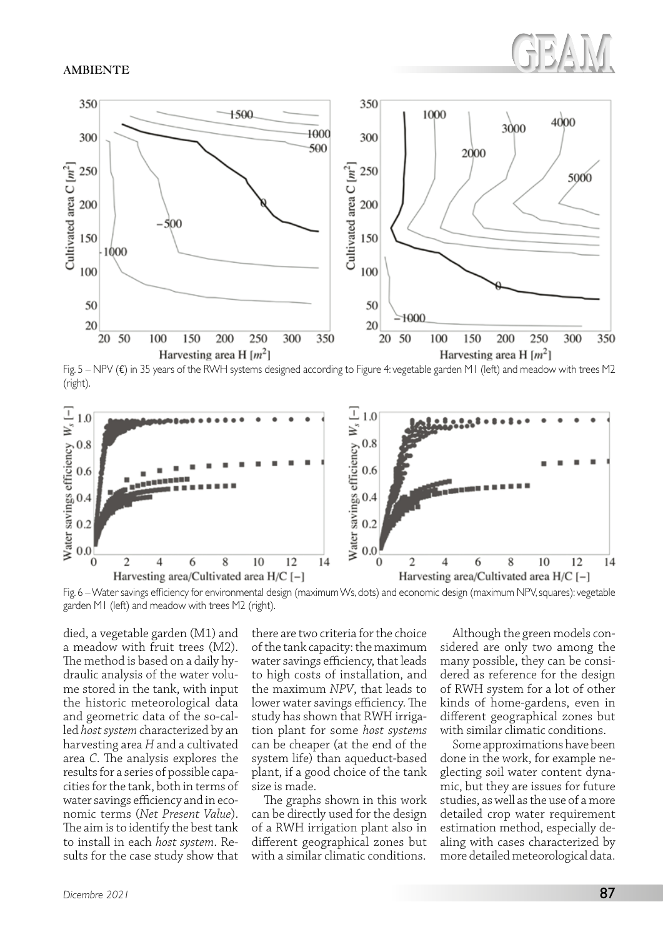#### **AMBIENTE**



Fig. 5 – NPV (€) in 35 years of the RWH systems designed according to Figure 4: vegetable garden M1 (left) and meadow with trees M2 (right).



Fig. 6 – Water savings efficiency for environmental design (maximum Ws, dots) and economic design (maximum NPV, squares): vegetable garden M1 (left) and meadow with trees M2 (right).

died, a vegetable garden (M1) and a meadow with fruit trees (M2). The method is based on a daily hydraulic analysis of the water volume stored in the tank, with input the historic meteorological data and geometric data of the so-called *host system* characterized by an harvesting area *H* and a cultivated area *C*. The analysis explores the results for a series of possible capacities for the tank, both in terms of water savings efficiency and in economic terms (*Net Present Value*). The aim is to identify the best tank to install in each *host system*. Results for the case study show that

there are two criteria for the choice of the tank capacity: the maximum water savings efficiency, that leads to high costs of installation, and the maximum *NPV*, that leads to lower water savings efficiency. The study has shown that RWH irrigation plant for some *host systems* can be cheaper (at the end of the system life) than aqueduct-based plant, if a good choice of the tank size is made.

The graphs shown in this work can be directly used for the design of a RWH irrigation plant also in different geographical zones but with a similar climatic conditions.

Although the green models considered are only two among the many possible, they can be considered as reference for the design of RWH system for a lot of other kinds of home-gardens, even in different geographical zones but with similar climatic conditions.

Some approximations have been done in the work, for example neglecting soil water content dynamic, but they are issues for future studies, as well as the use of a more detailed crop water requirement estimation method, especially dealing with cases characterized by more detailed meteorological data.